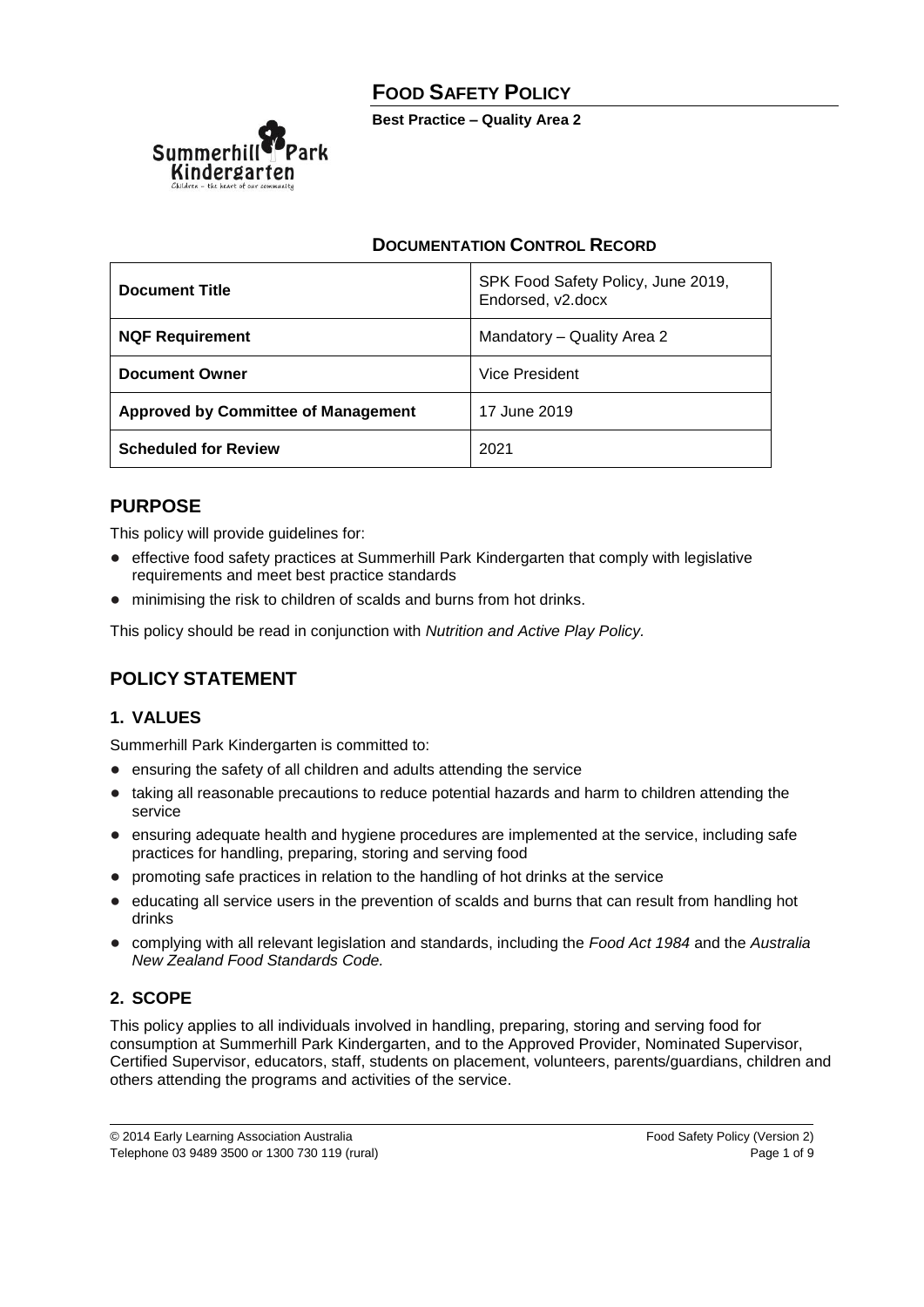# **FOOD SAFETY POLICY**

**Best Practice – Quality Area 2**



### **DOCUMENTATION CONTROL RECORD**

| <b>Document Title</b>                      | SPK Food Safety Policy, June 2019,<br>Endorsed, v2.docx |
|--------------------------------------------|---------------------------------------------------------|
| <b>NQF Requirement</b>                     | Mandatory - Quality Area 2                              |
| <b>Document Owner</b>                      | <b>Vice President</b>                                   |
| <b>Approved by Committee of Management</b> | 17 June 2019                                            |
| <b>Scheduled for Review</b>                | 2021                                                    |

## **PURPOSE**

This policy will provide guidelines for:

- effective food safety practices at Summerhill Park Kindergarten that comply with legislative requirements and meet best practice standards
- minimising the risk to children of scalds and burns from hot drinks.

This policy should be read in conjunction with *Nutrition and Active Play Policy.*

## **POLICY STATEMENT**

## **1. VALUES**

Summerhill Park Kindergarten is committed to:

- ensuring the safety of all children and adults attending the service
- taking all reasonable precautions to reduce potential hazards and harm to children attending the service
- ensuring adequate health and hygiene procedures are implemented at the service, including safe practices for handling, preparing, storing and serving food
- promoting safe practices in relation to the handling of hot drinks at the service
- educating all service users in the prevention of scalds and burns that can result from handling hot drinks
- complying with all relevant legislation and standards, including the *Food Act 1984* and the *Australia New Zealand Food Standards Code.*

## **2. SCOPE**

This policy applies to all individuals involved in handling, preparing, storing and serving food for consumption at Summerhill Park Kindergarten, and to the Approved Provider, Nominated Supervisor, Certified Supervisor, educators, staff, students on placement, volunteers, parents/guardians, children and others attending the programs and activities of the service.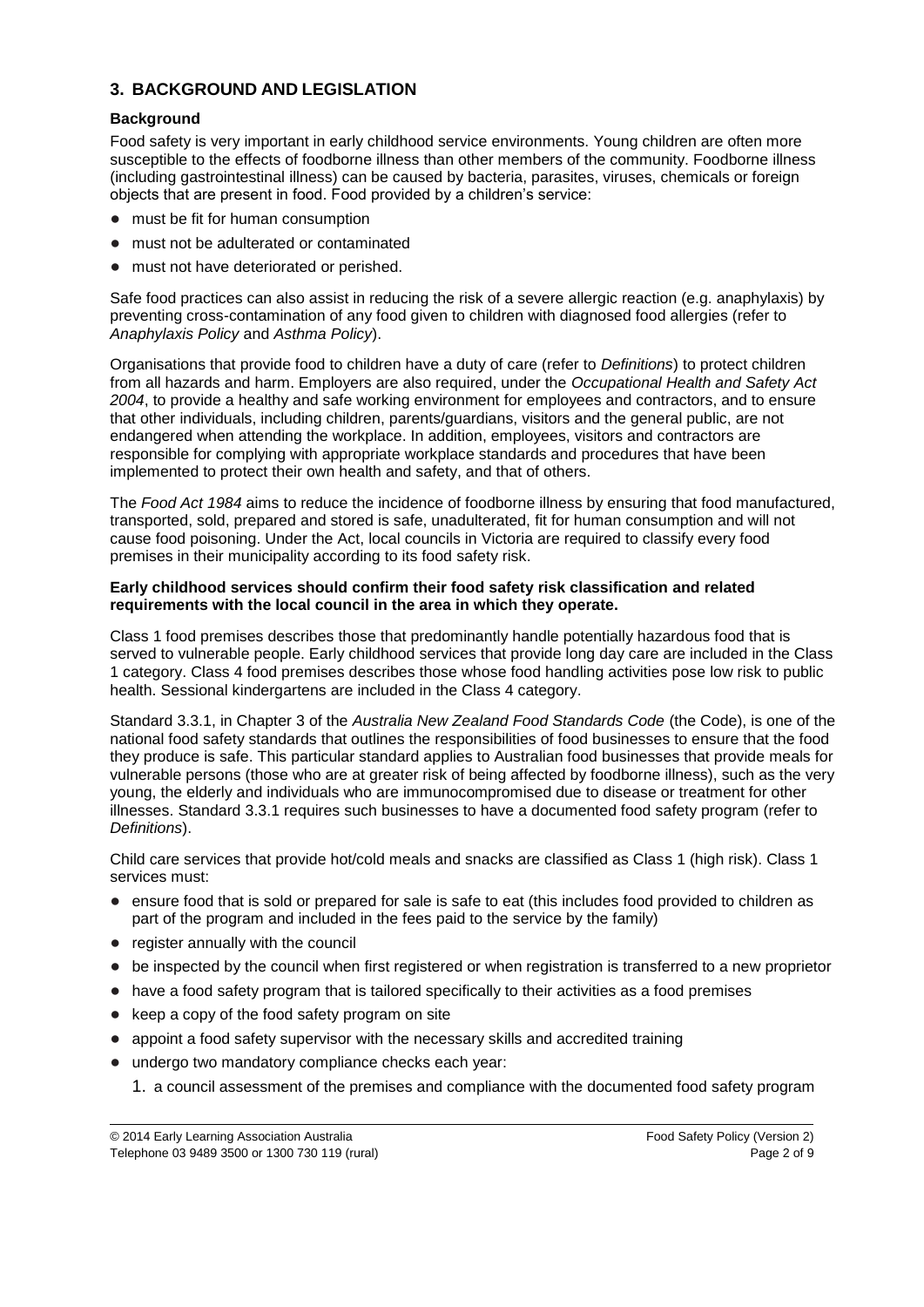### **3. BACKGROUND AND LEGISLATION**

#### **Background**

Food safety is very important in early childhood service environments. Young children are often more susceptible to the effects of foodborne illness than other members of the community. Foodborne illness (including gastrointestinal illness) can be caused by bacteria, parasites, viruses, chemicals or foreign objects that are present in food. Food provided by a children's service:

- must be fit for human consumption
- must not be adulterated or contaminated
- must not have deteriorated or perished.

Safe food practices can also assist in reducing the risk of a severe allergic reaction (e.g. anaphylaxis) by preventing cross-contamination of any food given to children with diagnosed food allergies (refer to *Anaphylaxis Policy* and *Asthma Policy*).

Organisations that provide food to children have a duty of care (refer to *Definitions*) to protect children from all hazards and harm. Employers are also required, under the *Occupational Health and Safety Act 2004*, to provide a healthy and safe working environment for employees and contractors, and to ensure that other individuals, including children, parents/guardians, visitors and the general public, are not endangered when attending the workplace. In addition, employees, visitors and contractors are responsible for complying with appropriate workplace standards and procedures that have been implemented to protect their own health and safety, and that of others.

The *Food Act 1984* aims to reduce the incidence of foodborne illness by ensuring that food manufactured, transported, sold, prepared and stored is safe, unadulterated, fit for human consumption and will not cause food poisoning. Under the Act, local councils in Victoria are required to classify every food premises in their municipality according to its food safety risk.

#### **Early childhood services should confirm their food safety risk classification and related requirements with the local council in the area in which they operate.**

Class 1 food premises describes those that predominantly handle potentially hazardous food that is served to vulnerable people. Early childhood services that provide long day care are included in the Class 1 category. Class 4 food premises describes those whose food handling activities pose low risk to public health. Sessional kindergartens are included in the Class 4 category.

Standard 3.3.1, in Chapter 3 of the *Australia New Zealand Food Standards Code* (the Code), is one of the national food safety standards that outlines the responsibilities of food businesses to ensure that the food they produce is safe. This particular standard applies to Australian food businesses that provide meals for vulnerable persons (those who are at greater risk of being affected by foodborne illness), such as the very young, the elderly and individuals who are immunocompromised due to disease or treatment for other illnesses. Standard 3.3.1 requires such businesses to have a documented food safety program (refer to *Definitions*).

Child care services that provide hot/cold meals and snacks are classified as Class 1 (high risk). Class 1 services must:

- ensure food that is sold or prepared for sale is safe to eat (this includes food provided to children as part of the program and included in the fees paid to the service by the family)
- register annually with the council
- be inspected by the council when first registered or when registration is transferred to a new proprietor
- have a food safety program that is tailored specifically to their activities as a food premises
- keep a copy of the food safety program on site
- appoint a food safety supervisor with the necessary skills and accredited training
- undergo two mandatory compliance checks each year:
	- 1. a council assessment of the premises and compliance with the documented food safety program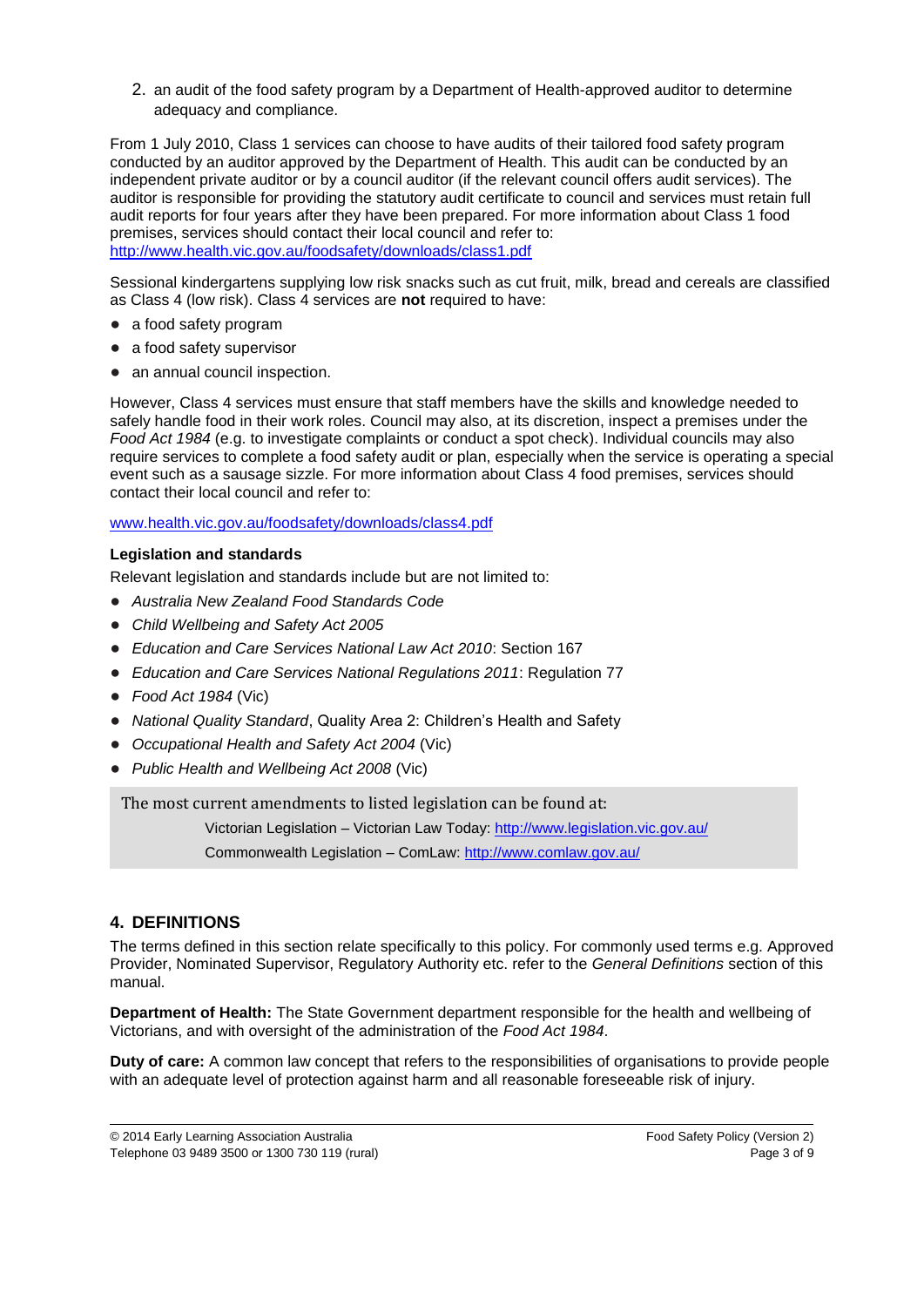2. an audit of the food safety program by a Department of Health-approved auditor to determine adequacy and compliance.

From 1 July 2010, Class 1 services can choose to have audits of their tailored food safety program conducted by an auditor approved by the Department of Health. This audit can be conducted by an independent private auditor or by a council auditor (if the relevant council offers audit services). The auditor is responsible for providing the statutory audit certificate to council and services must retain full audit reports for four years after they have been prepared. For more information about Class 1 food premises, services should contact their local council and refer to: <http://www.health.vic.gov.au/foodsafety/downloads/class1.pdf>

Sessional kindergartens supplying low risk snacks such as cut fruit, milk, bread and cereals are classified as Class 4 (low risk). Class 4 services are **not** required to have:

- a food safety program
- a food safety supervisor
- an annual council inspection.

However, Class 4 services must ensure that staff members have the skills and knowledge needed to safely handle food in their work roles. Council may also, at its discretion, inspect a premises under the *Food Act 1984* (e.g. to investigate complaints or conduct a spot check). Individual councils may also require services to complete a food safety audit or plan, especially when the service is operating a special event such as a sausage sizzle. For more information about Class 4 food premises, services should contact their local council and refer to:

#### [www.health.vic.gov.au/foodsafety/downloads/class4.pdf](http://www.health.vic.gov.au/foodsafety/downloads/class4.pdf)

#### **Legislation and standards**

Relevant legislation and standards include but are not limited to:

- *Australia New Zealand Food Standards Code*
- *Child Wellbeing and Safety Act 2005*
- *Education and Care Services National Law Act 2010*: Section 167
- *Education and Care Services National Regulations 2011*: Regulation 77
- *Food Act 1984* (Vic)
- *National Quality Standard*, Quality Area 2: Children's Health and Safety
- *Occupational Health and Safety Act 2004* (Vic)
- *Public Health and Wellbeing Act 2008* (Vic)

The most current amendments to listed legislation can be found at:

Victorian Legislation – Victorian Law Today: http://www.legislation.vic.gov.au/

Commonwealth Legislation – ComLaw: http://www.comlaw.gov.au/

## **4. DEFINITIONS**

The terms defined in this section relate specifically to this policy. For commonly used terms e.g. Approved Provider, Nominated Supervisor, Regulatory Authority etc. refer to the *General Definitions* section of this manual.

**Department of Health:** The State Government department responsible for the health and wellbeing of Victorians, and with oversight of the administration of the *Food Act 1984*.

**Duty of care:** A common law concept that refers to the responsibilities of organisations to provide people with an adequate level of protection against harm and all reasonable foreseeable risk of injury.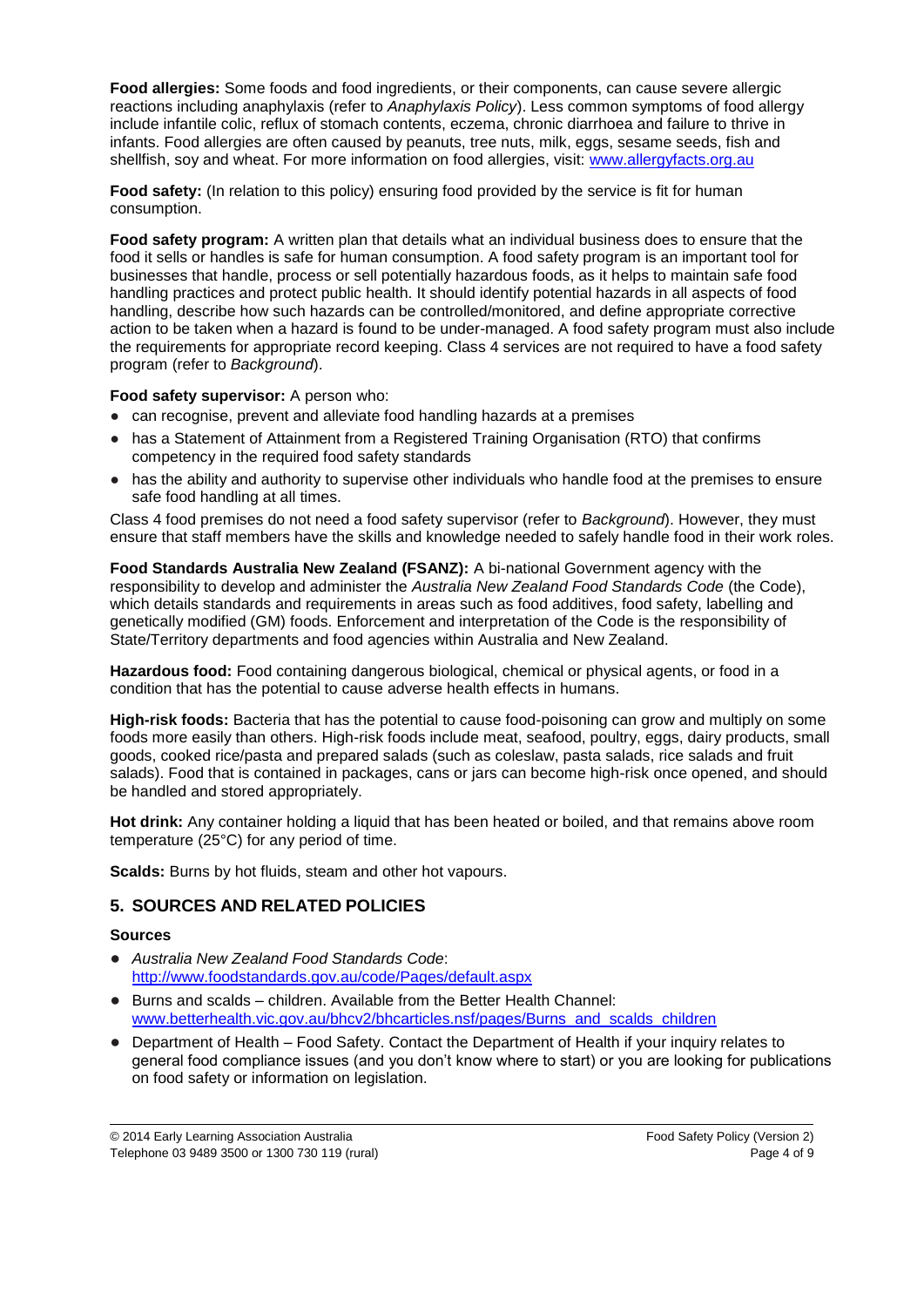**Food allergies:** Some foods and food ingredients, or their components, can cause severe allergic reactions including anaphylaxis (refer to *Anaphylaxis Policy*). Less common symptoms of food allergy include infantile colic, reflux of stomach contents, eczema, chronic diarrhoea and failure to thrive in infants. Food allergies are often caused by peanuts, tree nuts, milk, eggs, sesame seeds, fish and shellfish, soy and wheat. For more information on food allergies, visit: [www.allergyfacts.org.au](http://www.allergyfacts.org.au/)

**Food safety:** (In relation to this policy) ensuring food provided by the service is fit for human consumption.

**Food safety program:** A written plan that details what an individual business does to ensure that the food it sells or handles is safe for human consumption. A food safety program is an important tool for businesses that handle, process or sell potentially hazardous foods, as it helps to maintain safe food handling practices and protect public health. It should identify potential hazards in all aspects of food handling, describe how such hazards can be controlled/monitored, and define appropriate corrective action to be taken when a hazard is found to be under-managed. A food safety program must also include the requirements for appropriate record keeping. Class 4 services are not required to have a food safety program (refer to *Background*).

#### **Food safety supervisor:** A person who:

- can recognise, prevent and alleviate food handling hazards at a premises
- has a Statement of Attainment from a Registered Training Organisation (RTO) that confirms competency in the required food safety standards
- has the ability and authority to supervise other individuals who handle food at the premises to ensure safe food handling at all times.

Class 4 food premises do not need a food safety supervisor (refer to *Background*). However, they must ensure that staff members have the skills and knowledge needed to safely handle food in their work roles.

**Food Standards Australia New Zealand (FSANZ):** A bi-national Government agency with the responsibility to develop and administer the *Australia New Zealand Food Standards Code* (the Code), which details standards and requirements in areas such as food additives, food safety, labelling and genetically modified (GM) foods. Enforcement and interpretation of the Code is the responsibility of State/Territory departments and food agencies within Australia and New Zealand.

**Hazardous food:** Food containing dangerous biological, chemical or physical agents, or food in a condition that has the potential to cause adverse health effects in humans.

**High-risk foods:** Bacteria that has the potential to cause food-poisoning can grow and multiply on some foods more easily than others. High-risk foods include meat, seafood, poultry, eggs, dairy products, small goods, cooked rice/pasta and prepared salads (such as coleslaw, pasta salads, rice salads and fruit salads). Food that is contained in packages, cans or jars can become high-risk once opened, and should be handled and stored appropriately.

**Hot drink:** Any container holding a liquid that has been heated or boiled, and that remains above room temperature (25°C) for any period of time.

**Scalds:** Burns by hot fluids, steam and other hot vapours.

### **5. SOURCES AND RELATED POLICIES**

#### **Sources**

- *Australia New Zealand Food Standards Code*: <http://www.foodstandards.gov.au/code/Pages/default.aspx>
- Burns and scalds children. Available from the Better Health Channel: [www.betterhealth.vic.gov.au/bhcv2/bhcarticles.nsf/pages/Burns\\_and\\_scalds\\_children](http://www.betterhealth.vic.gov.au/bhcv2/bhcarticles.nsf/pages/Burns_and_scalds_children)
- Department of Health Food Safety. Contact the Department of Health if your inquiry relates to general food compliance issues (and you don't know where to start) or you are looking for publications on food safety or information on legislation.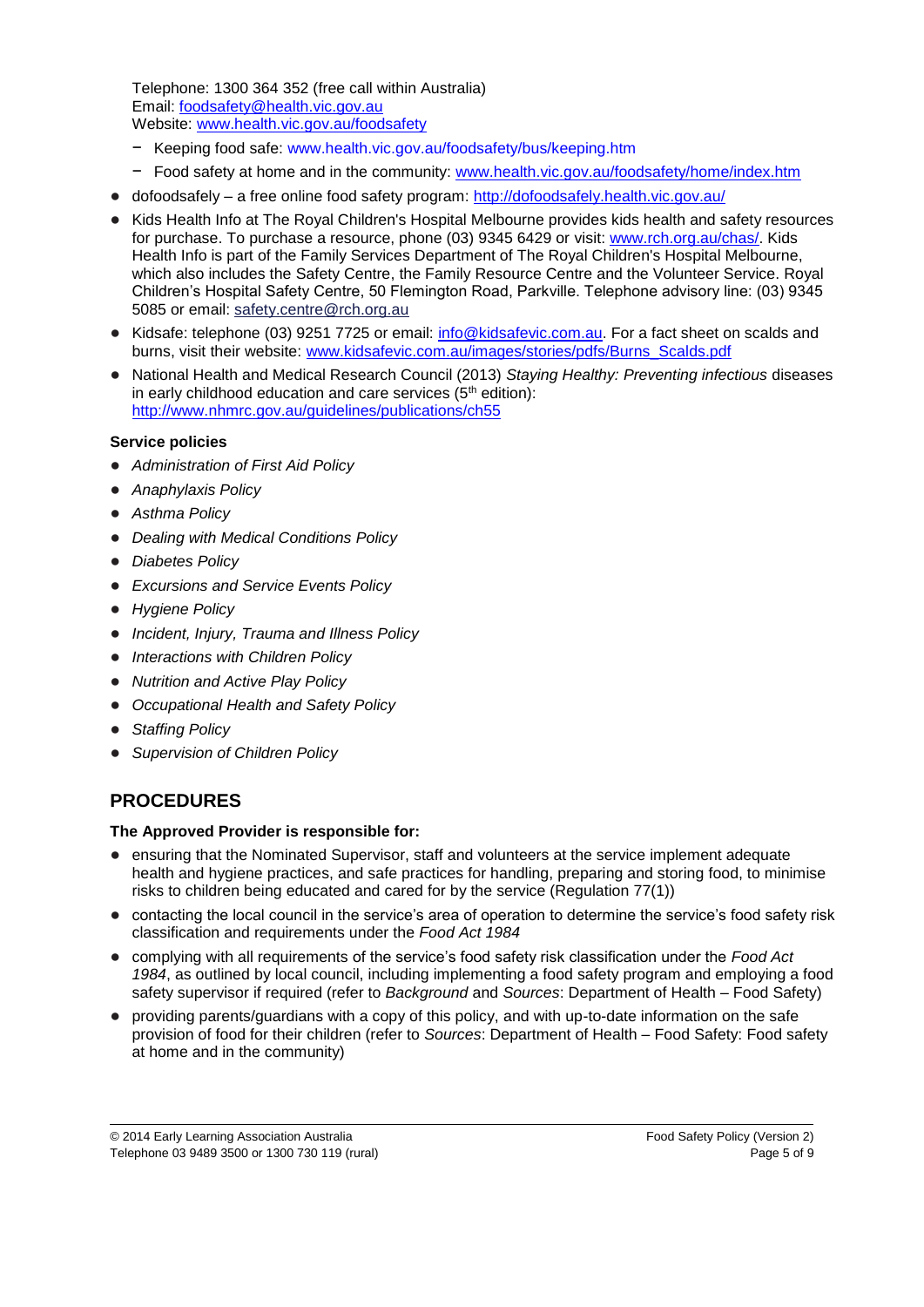Telephone: 1300 364 352 (free call within Australia) Email: [foodsafety@health.vic.gov.au](mailto:foodsafety@health.vic.gov.au)  Website: [www.health.vic.gov.au/foodsafety](http://www.health.vic.gov.au/foodsafety)

- − Keeping food safe: [www.health.vic.gov.au/foodsafety/bus/keeping.htm](http://www.health.vic.gov.au/foodsafety/bus/keeping.htm)
- − Food safety at home and in the community: [www.health.vic.gov.au/foodsafety/home/index.htm](http://www.health.vic.gov.au/foodsafety/home/index.htm)
- dofoodsafely a free online food safety program:<http://dofoodsafely.health.vic.gov.au/>
- Kids Health Info at The Royal Children's Hospital Melbourne provides kids health and safety resources for purchase. To purchase a resource, phone (03) 9345 6429 or visit: [www.rch.org.au/chas/.](http://www.rch.org.au/chas/) Kids Health Info is part of the Family Services Department of The Royal Children's Hospital Melbourne, which also includes the [Safety Centre,](http://www.rch.org.au/safetycentre/) the [Family Resource Centre](http://www.rch.org.au/frc/) and the [Volunteer Service.](http://www.rch.org.au/volunteers/) Royal Children's Hospital Safety Centre, 50 Flemington Road, Parkville. Telephone advisory line: (03) 9345 5085 or email: [safety.centre@rch.org.au](mailto:safety.centre@rch.org.au)
- Kidsafe: telephone (03) 9251 7725 or email: [info@kidsafevic.com.au.](mailto:info@kidsafevic.com.au) For a fact sheet on scalds and burns, visit their website: [www.kidsafevic.com.au/images/stories/pdfs/Burns\\_Scalds.pdf](http://www.kidsafevic.com.au/images/stories/pdfs/Burns_Scalds.pdf)
- National Health and Medical Research Council (2013) *Staying Healthy: Preventing infectious* diseases in early childhood education and care services  $(5<sup>th</sup>$  edition): <http://www.nhmrc.gov.au/guidelines/publications/ch55>

#### **Service policies**

- *Administration of First Aid Policy*
- *Anaphylaxis Policy*
- *Asthma Policy*
- *Dealing with Medical Conditions Policy*
- *Diabetes Policy*
- *Excursions and Service Events Policy*
- *Hygiene Policy*
- *Incident, Injury, Trauma and Illness Policy*
- *Interactions with Children Policy*
- *Nutrition and Active Play Policy*
- **Occupational Health and Safety Policy**
- *Staffing Policy*
- *Supervision of Children Policy*

# **PROCEDURES**

#### **The Approved Provider is responsible for:**

- ensuring that the Nominated Supervisor, staff and volunteers at the service implement adequate health and hygiene practices, and safe practices for handling, preparing and storing food, to minimise risks to children being educated and cared for by the service (Regulation 77(1))
- contacting the local council in the service's area of operation to determine the service's food safety risk classification and requirements under the *Food Act 1984*
- complying with all requirements of the service's food safety risk classification under the *Food Act 1984*, as outlined by local council, including implementing a food safety program and employing a food safety supervisor if required (refer to *Background* and *Sources*: Department of Health – Food Safety)
- providing parents/guardians with a copy of this policy, and with up-to-date information on the safe provision of food for their children (refer to *Sources*: Department of Health – Food Safety: Food safety at home and in the community)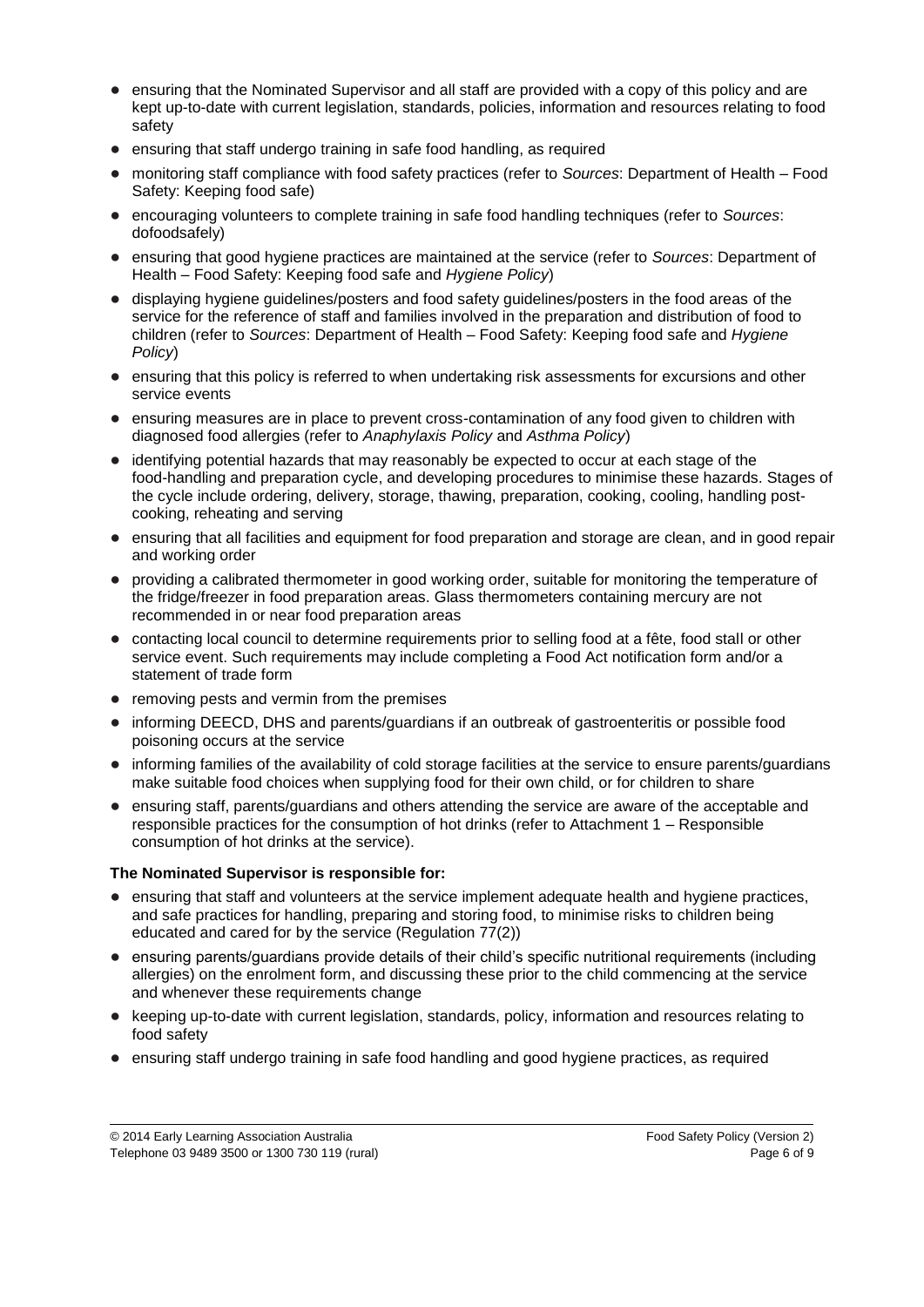- ensuring that the Nominated Supervisor and all staff are provided with a copy of this policy and are kept up-to-date with current legislation, standards, policies, information and resources relating to food safety
- ensuring that staff undergo training in safe food handling, as required
- monitoring staff compliance with food safety practices (refer to *Sources*: Department of Health Food Safety: Keeping food safe)
- encouraging volunteers to complete training in safe food handling techniques (refer to *Sources*: dofoodsafely)
- ensuring that good hygiene practices are maintained at the service (refer to *Sources*: Department of Health – Food Safety: Keeping food safe and *Hygiene Policy*)
- displaying hygiene guidelines/posters and food safety guidelines/posters in the food areas of the service for the reference of staff and families involved in the preparation and distribution of food to children (refer to *Sources*: Department of Health – Food Safety: Keeping food safe and *Hygiene Policy*)
- ensuring that this policy is referred to when undertaking risk assessments for excursions and other service events
- ensuring measures are in place to prevent cross-contamination of any food given to children with diagnosed food allergies (refer to *Anaphylaxis Policy* and *Asthma Policy*)
- identifying potential hazards that may reasonably be expected to occur at each stage of the food-handling and preparation cycle, and developing procedures to minimise these hazards. Stages of the cycle include ordering, delivery, storage, thawing, preparation, cooking, cooling, handling postcooking, reheating and serving
- ensuring that all facilities and equipment for food preparation and storage are clean, and in good repair and working order
- providing a calibrated thermometer in good working order, suitable for monitoring the temperature of the fridge/freezer in food preparation areas. Glass thermometers containing mercury are not recommended in or near food preparation areas
- contacting local council to determine requirements prior to selling food at a fête, food stall or other service event. Such requirements may include completing a Food Act notification form and/or a statement of trade form
- removing pests and vermin from the premises
- informing DEECD, DHS and parents/guardians if an outbreak of gastroenteritis or possible food poisoning occurs at the service
- informing families of the availability of cold storage facilities at the service to ensure parents/guardians make suitable food choices when supplying food for their own child, or for children to share
- ensuring staff, parents/guardians and others attending the service are aware of the acceptable and responsible practices for the consumption of hot drinks (refer to Attachment 1 – Responsible consumption of hot drinks at the service).

#### **The Nominated Supervisor is responsible for:**

- ensuring that staff and volunteers at the service implement adequate health and hygiene practices, and safe practices for handling, preparing and storing food, to minimise risks to children being educated and cared for by the service (Regulation 77(2))
- ensuring parents/guardians provide details of their child's specific nutritional requirements (including allergies) on the enrolment form, and discussing these prior to the child commencing at the service and whenever these requirements change
- keeping up-to-date with current legislation, standards, policy, information and resources relating to food safety
- ensuring staff undergo training in safe food handling and good hygiene practices, as required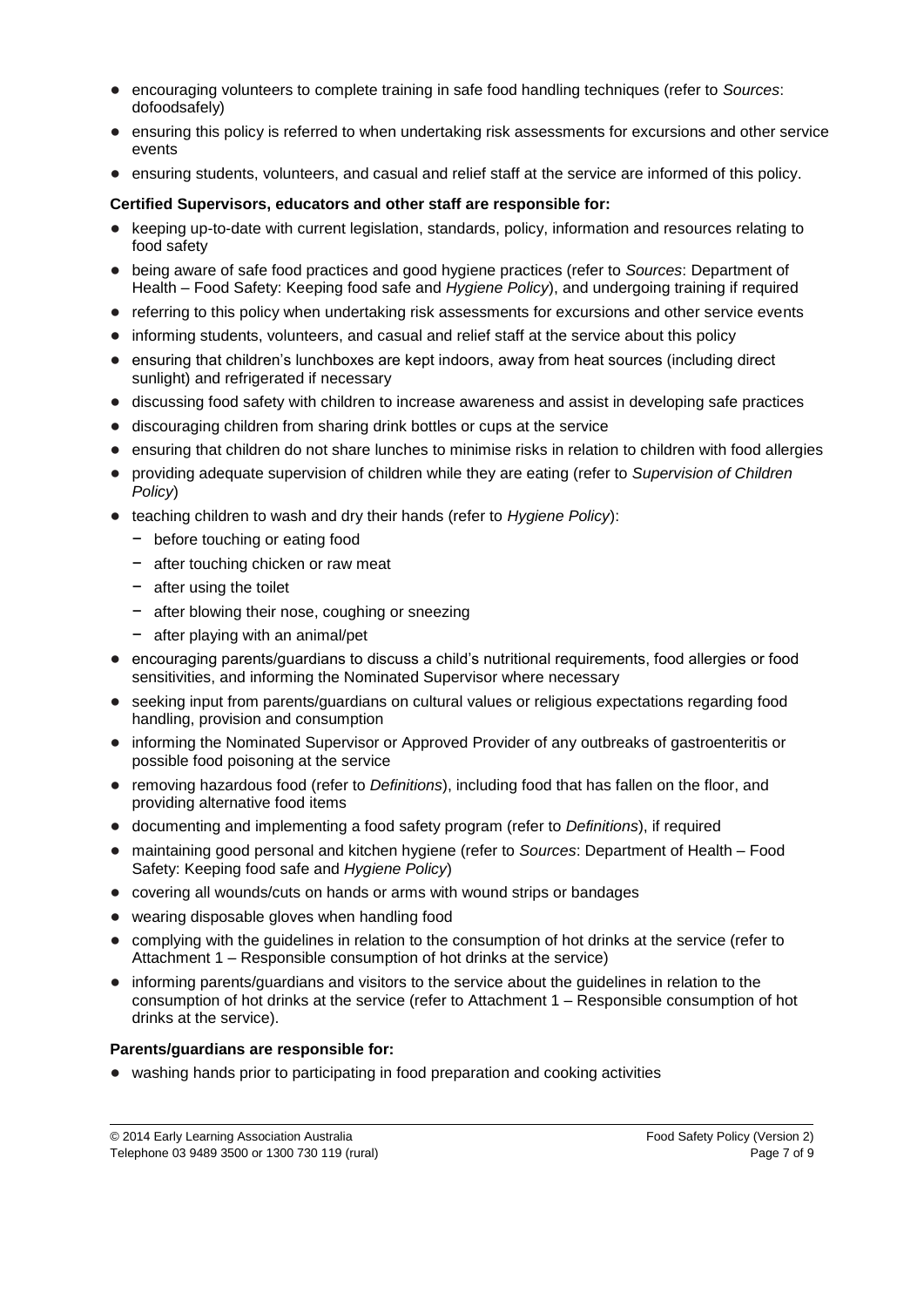- encouraging volunteers to complete training in safe food handling techniques (refer to *Sources*: dofoodsafely)
- ensuring this policy is referred to when undertaking risk assessments for excursions and other service events
- ensuring students, volunteers, and casual and relief staff at the service are informed of this policy.

#### **Certified Supervisors, educators and other staff are responsible for:**

- keeping up-to-date with current legislation, standards, policy, information and resources relating to food safety
- being aware of safe food practices and good hygiene practices (refer to *Sources*: Department of Health – Food Safety: Keeping food safe and *Hygiene Policy*), and undergoing training if required
- referring to this policy when undertaking risk assessments for excursions and other service events
- informing students, volunteers, and casual and relief staff at the service about this policy
- ensuring that children's lunchboxes are kept indoors, away from heat sources (including direct sunlight) and refrigerated if necessary
- discussing food safety with children to increase awareness and assist in developing safe practices
- discouraging children from sharing drink bottles or cups at the service
- ensuring that children do not share lunches to minimise risks in relation to children with food allergies
- providing adequate supervision of children while they are eating (refer to *Supervision of Children Policy*)
- teaching children to wash and dry their hands (refer to *Hygiene Policy*):
	- − before touching or eating food
	- − after touching chicken or raw meat
	- − after using the toilet
	- − after blowing their nose, coughing or sneezing
	- − after playing with an animal/pet
- encouraging parents/guardians to discuss a child's nutritional requirements, food allergies or food sensitivities, and informing the Nominated Supervisor where necessary
- seeking input from parents/guardians on cultural values or religious expectations regarding food handling, provision and consumption
- informing the Nominated Supervisor or Approved Provider of any outbreaks of gastroenteritis or possible food poisoning at the service
- removing hazardous food (refer to *Definitions*), including food that has fallen on the floor, and providing alternative food items
- documenting and implementing a food safety program (refer to *Definitions*), if required
- maintaining good personal and kitchen hygiene (refer to *Sources*: Department of Health Food Safety: Keeping food safe and *Hygiene Policy*)
- covering all wounds/cuts on hands or arms with wound strips or bandages
- wearing disposable gloves when handling food
- complying with the guidelines in relation to the consumption of hot drinks at the service (refer to Attachment 1 – Responsible consumption of hot drinks at the service)
- informing parents/guardians and visitors to the service about the guidelines in relation to the consumption of hot drinks at the service (refer to Attachment 1 – Responsible consumption of hot drinks at the service).

#### **Parents/guardians are responsible for:**

● washing hands prior to participating in food preparation and cooking activities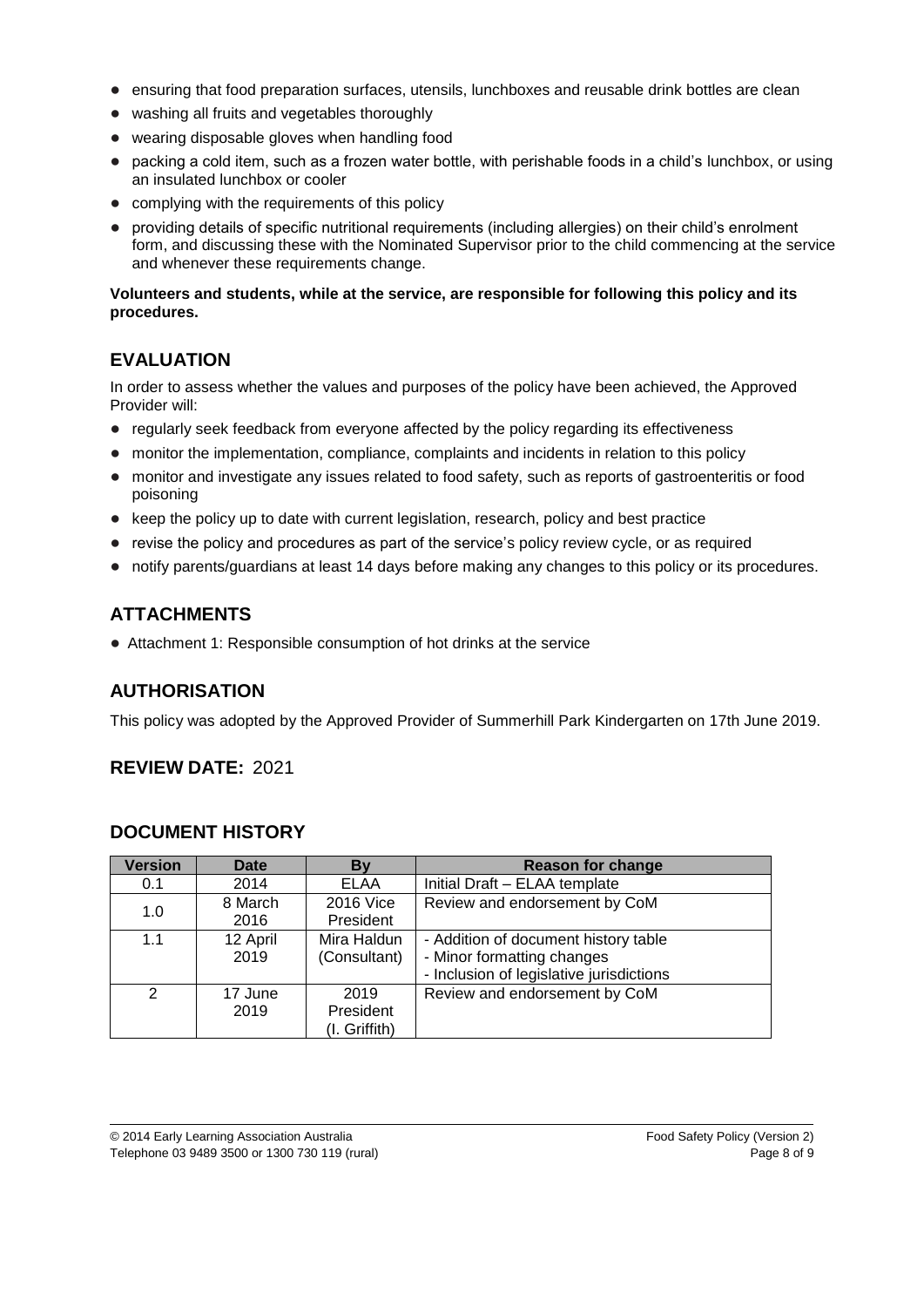- ensuring that food preparation surfaces, utensils, lunchboxes and reusable drink bottles are clean
- washing all fruits and vegetables thoroughly
- wearing disposable gloves when handling food
- packing a cold item, such as a frozen water bottle, with perishable foods in a child's lunchbox, or using an insulated lunchbox or cooler
- complying with the requirements of this policy
- providing details of specific nutritional requirements (including allergies) on their child's enrolment form, and discussing these with the Nominated Supervisor prior to the child commencing at the service and whenever these requirements change.

#### **Volunteers and students, while at the service, are responsible for following this policy and its procedures.**

## **EVALUATION**

In order to assess whether the values and purposes of the policy have been achieved, the Approved Provider will:

- regularly seek feedback from everyone affected by the policy regarding its effectiveness
- monitor the implementation, compliance, complaints and incidents in relation to this policy
- monitor and investigate any issues related to food safety, such as reports of gastroenteritis or food poisoning
- keep the policy up to date with current legislation, research, policy and best practice
- revise the policy and procedures as part of the service's policy review cycle, or as required
- notify parents/guardians at least 14 days before making any changes to this policy or its procedures.

# **ATTACHMENTS**

● Attachment 1: Responsible consumption of hot drinks at the service

## **AUTHORISATION**

This policy was adopted by the Approved Provider of Summerhill Park Kindergarten on 17th June 2019.

## **REVIEW DATE:** 2021

## **DOCUMENT HISTORY**

| <b>Version</b> | <b>Date</b>      | By                                 | <b>Reason for change</b>                                                                                       |
|----------------|------------------|------------------------------------|----------------------------------------------------------------------------------------------------------------|
| 0.1            | 2014             | <b>ELAA</b>                        | Initial Draft - ELAA template                                                                                  |
| 1.0            | 8 March<br>2016  | 2016 Vice<br>President             | Review and endorsement by CoM                                                                                  |
| 1.1            | 12 April<br>2019 | Mira Haldun<br>(Consultant)        | - Addition of document history table<br>- Minor formatting changes<br>- Inclusion of legislative jurisdictions |
| $\mathcal{P}$  | 17 June<br>2019  | 2019<br>President<br>(I. Griffith) | Review and endorsement by CoM                                                                                  |